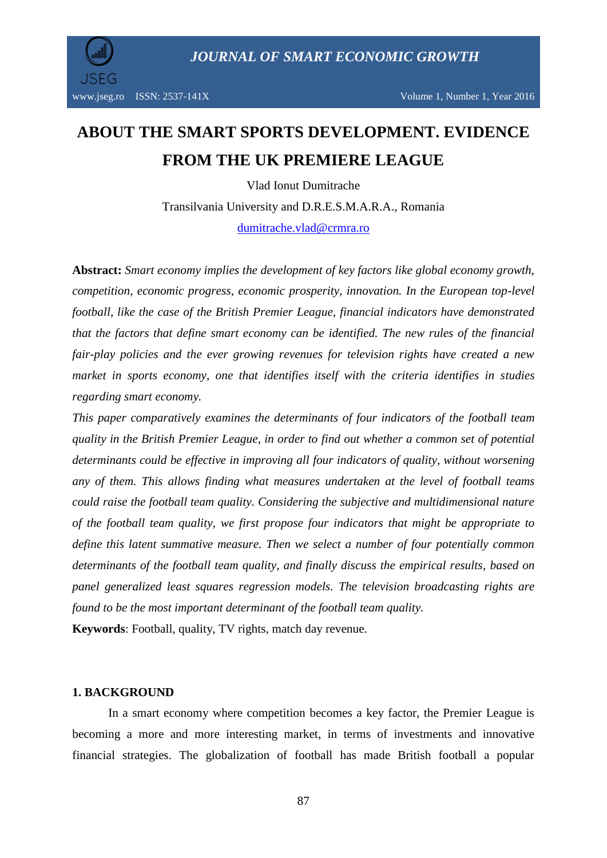

# **ABOUT THE SMART SPORTS DEVELOPMENT. EVIDENCE FROM THE UK PREMIERE LEAGUE**

Vlad Ionut Dumitrache Transilvania University and D.R.E.S.M.A.R.A., Romania [dumitrache.vlad@crmra.ro](mailto:dumitrache.vlad@crmra.ro)

**Abstract:** *Smart economy implies the development of key factors like global economy growth, competition, economic progress, economic prosperity, innovation. In the European top-level football, like the case of the British Premier League, financial indicators have demonstrated that the factors that define smart economy can be identified. The new rules of the financial fair-play policies and the ever growing revenues for television rights have created a new market in sports economy, one that identifies itself with the criteria identifies in studies regarding smart economy.* 

*This paper comparatively examines the determinants of four indicators of the football team quality in the British Premier League, in order to find out whether a common set of potential determinants could be effective in improving all four indicators of quality, without worsening any of them. This allows finding what measures undertaken at the level of football teams could raise the football team quality. Considering the subjective and multidimensional nature of the football team quality, we first propose four indicators that might be appropriate to define this latent summative measure. Then we select a number of four potentially common determinants of the football team quality, and finally discuss the empirical results, based on panel generalized least squares regression models. The television broadcasting rights are found to be the most important determinant of the football team quality.* **Keywords**: Football, quality, TV rights, match day revenue.

#### **1. BACKGROUND**

In a smart economy where competition becomes a key factor, the Premier League is becoming a more and more interesting market, in terms of investments and innovative financial strategies. The globalization of football has made British football a popular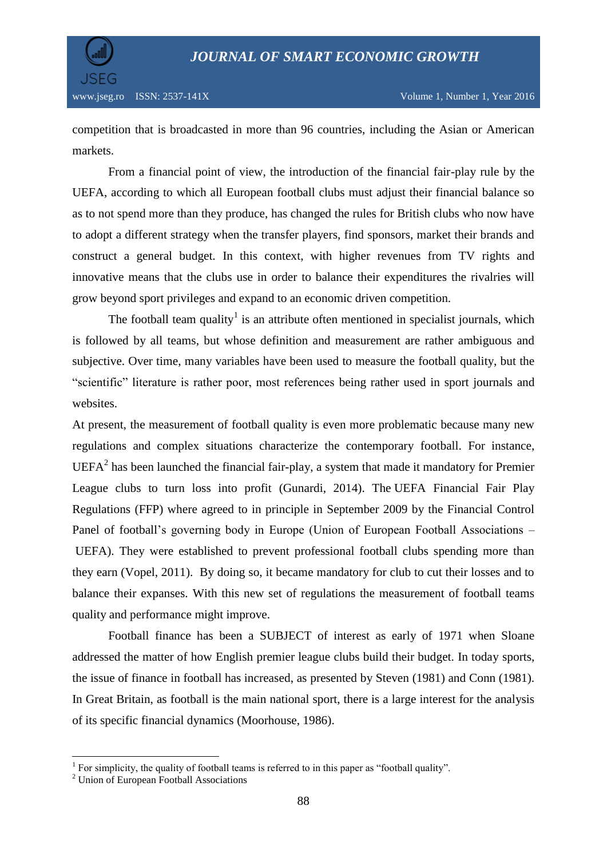

competition that is broadcasted in more than 96 countries, including the Asian or American markets.

From a financial point of view, the introduction of the financial fair-play rule by the UEFA, according to which all European football clubs must adjust their financial balance so as to not spend more than they produce, has changed the rules for British clubs who now have to adopt a different strategy when the transfer players, find sponsors, market their brands and construct a general budget. In this context, with higher revenues from TV rights and innovative means that the clubs use in order to balance their expenditures the rivalries will grow beyond sport privileges and expand to an economic driven competition.

The football team quality<sup>1</sup> is an attribute often mentioned in specialist journals, which is followed by all teams, but whose definition and measurement are rather ambiguous and subjective. Over time, many variables have been used to measure the football quality, but the "scientific" literature is rather poor, most references being rather used in sport journals and websites.

At present, the measurement of football quality is even more problematic because many new regulations and complex situations characterize the contemporary football. For instance,  $UEFA<sup>2</sup>$  has been launched the financial fair-play, a system that made it mandatory for Premier League clubs to turn loss into profit (Gunardi, 2014). The UEFA Financial Fair Play Regulations (FFP) where agreed to in principle in September 2009 by the Financial Control Panel of football's governing body in Europe (Union of European Football Associations – UEFA). They were established to prevent professional football clubs spending more than they earn (Vopel, 2011). By doing so, it became mandatory for club to cut their losses and to balance their expanses. With this new set of regulations the measurement of football teams quality and performance might improve.

Football finance has been a SUBJECT of interest as early of 1971 when Sloane addressed the matter of how English premier league clubs build their budget. In today sports, the issue of finance in football has increased, as presented by Steven (1981) and Conn (1981). In Great Britain, as football is the main national sport, there is a large interest for the analysis of its specific financial dynamics (Moorhouse, 1986).

 1 For simplicity, the quality of football teams is referred to in this paper as "football quality".

<sup>&</sup>lt;sup>2</sup> Union of European Football Associations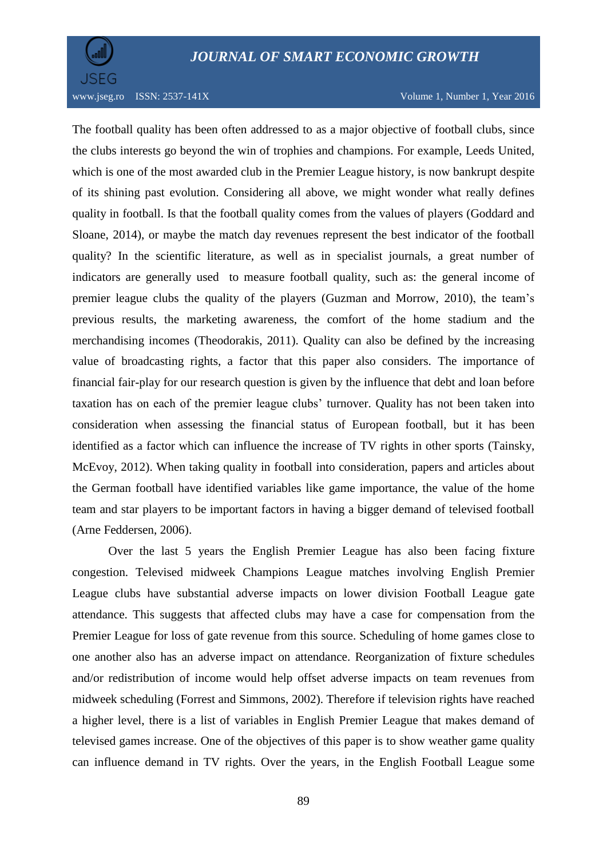

www.jseg.ro ISSN: 2537-141X Volume 1, Number 1, Year 2016

The football quality has been often addressed to as a major objective of football clubs, since the clubs interests go beyond the win of trophies and champions. For example, Leeds United, which is one of the most awarded club in the Premier League history, is now bankrupt despite of its shining past evolution. Considering all above, we might wonder what really defines quality in football. Is that the football quality comes from the values of players (Goddard and Sloane, 2014), or maybe the match day revenues represent the best indicator of the football quality? In the scientific literature, as well as in specialist journals, a great number of indicators are generally used to measure football quality, such as: the general income of premier league clubs the quality of the players (Guzman and Morrow, 2010), the team's previous results, the marketing awareness, the comfort of the home stadium and the merchandising incomes (Theodorakis, 2011). Quality can also be defined by the increasing value of broadcasting rights, a factor that this paper also considers. The importance of financial fair-play for our research question is given by the influence that debt and loan before taxation has on each of the premier league clubs' turnover. Quality has not been taken into consideration when assessing the financial status of European football, but it has been identified as a factor which can influence the increase of TV rights in other sports (Tainsky, McEvoy, 2012). When taking quality in football into consideration, papers and articles about the German football have identified variables like game importance, the value of the home team and star players to be important factors in having a bigger demand of televised football (Arne Feddersen, 2006).

Over the last 5 years the English Premier League has also been facing fixture congestion. Televised midweek Champions League matches involving English Premier League clubs have substantial adverse impacts on lower division Football League gate attendance. This suggests that affected clubs may have a case for compensation from the Premier League for loss of gate revenue from this source. Scheduling of home games close to one another also has an adverse impact on attendance. Reorganization of fixture schedules and/or redistribution of income would help offset adverse impacts on team revenues from midweek scheduling (Forrest and Simmons, 2002). Therefore if television rights have reached a higher level, there is a list of variables in English Premier League that makes demand of televised games increase. One of the objectives of this paper is to show weather game quality can influence demand in TV rights. Over the years, in the English Football League some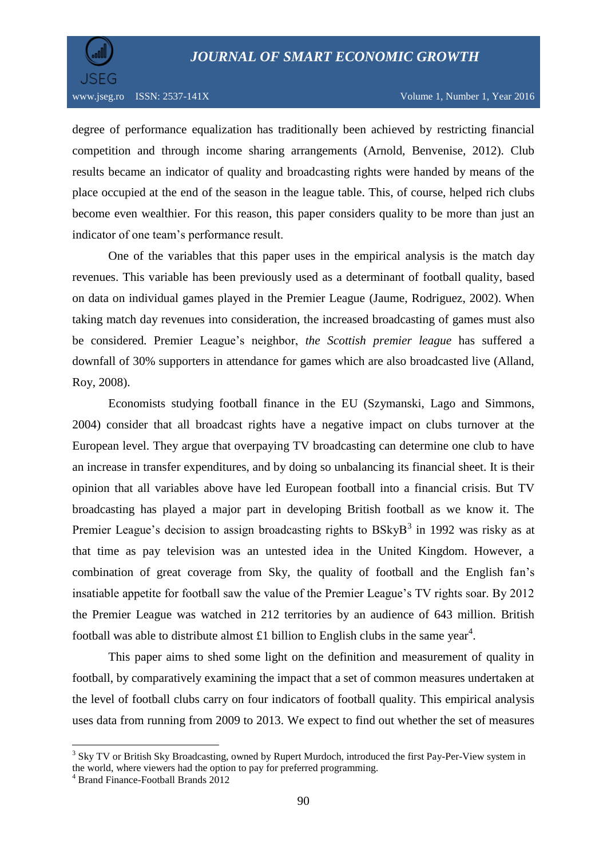

degree of performance equalization has traditionally been achieved by restricting financial competition and through income sharing arrangements (Arnold, Benvenise, 2012). Club results became an indicator of quality and broadcasting rights were handed by means of the place occupied at the end of the season in the league table. This, of course, helped rich clubs become even wealthier. For this reason, this paper considers quality to be more than just an indicator of one team's performance result.

One of the variables that this paper uses in the empirical analysis is the match day revenues. This variable has been previously used as a determinant of football quality, based on data on individual games played in the Premier League (Jaume, Rodriguez, 2002). When taking match day revenues into consideration, the increased broadcasting of games must also be considered. Premier League's neighbor, *the Scottish premier league* has suffered a downfall of 30% supporters in attendance for games which are also broadcasted live (Alland, Roy, 2008).

Economists studying football finance in the EU (Szymanski, Lago and Simmons, 2004) consider that all broadcast rights have a negative impact on clubs turnover at the European level. They argue that overpaying TV broadcasting can determine one club to have an increase in transfer expenditures, and by doing so unbalancing its financial sheet. It is their opinion that all variables above have led European football into a financial crisis. But TV broadcasting has played a major part in developing British football as we know it. The Premier League's decision to assign broadcasting rights to  $BSkyB<sup>3</sup>$  in 1992 was risky as at that time as pay television was an untested idea in the United Kingdom. However, a combination of great coverage from Sky, the quality of football and the English fan's insatiable appetite for football saw the value of the Premier League's TV rights soar. By 2012 the Premier League was watched in 212 territories by an audience of 643 million. British football was able to distribute almost £1 billion to English clubs in the same year<sup>4</sup>.

This paper aims to shed some light on the definition and measurement of quality in football, by comparatively examining the impact that a set of common measures undertaken at the level of football clubs carry on four indicators of football quality. This empirical analysis uses data from running from 2009 to 2013. We expect to find out whether the set of measures

 $\overline{a}$ 

<sup>&</sup>lt;sup>3</sup> Sky TV or British Sky Broadcasting, owned by Rupert Murdoch, introduced the first Pay-Per-View system in the world, where viewers had the option to pay for preferred programming.

<sup>&</sup>lt;sup>4</sup> Brand Finance-Football Brands 2012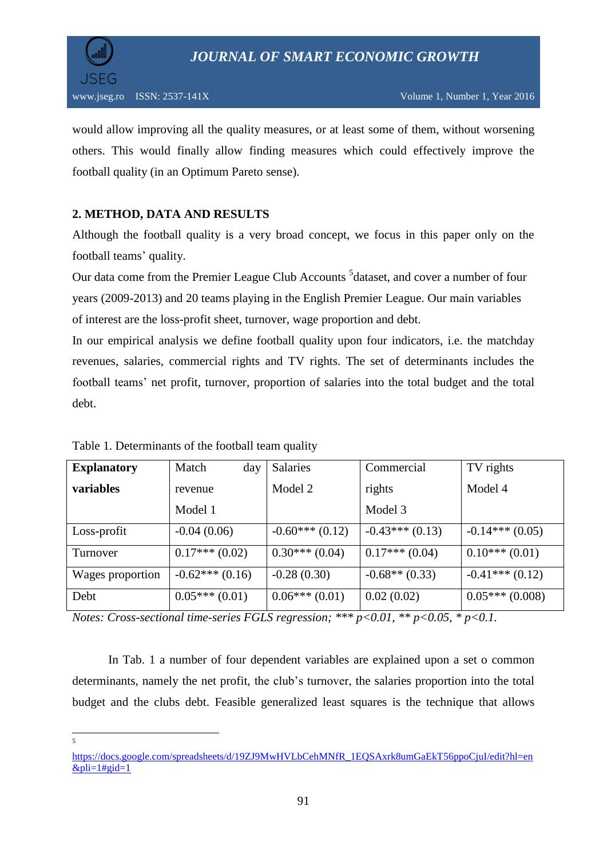

would allow improving all the quality measures, or at least some of them, without worsening others. This would finally allow finding measures which could effectively improve the football quality (in an Optimum Pareto sense).

### **2. METHOD, DATA AND RESULTS**

Although the football quality is a very broad concept, we focus in this paper only on the football teams' quality.

Our data come from the Premier League Club Accounts <sup>5</sup>dataset, and cover a number of four years (2009-2013) and 20 teams playing in the English Premier League. Our main variables of interest are the loss-profit sheet, turnover, wage proportion and debt.

In our empirical analysis we define football quality upon four indicators, i.e. the matchday revenues, salaries, commercial rights and TV rights. The set of determinants includes the football teams' net profit, turnover, proportion of salaries into the total budget and the total debt.

| <b>Explanatory</b> | Match<br>day     | Salaries         | Commercial       | TV rights        |
|--------------------|------------------|------------------|------------------|------------------|
| variables          | revenue          | Model 2          | rights           | Model 4          |
|                    | Model 1          |                  | Model 3          |                  |
| Loss-profit        | $-0.04(0.06)$    | $-0.60***(0.12)$ | $-0.43***(0.13)$ | $-0.14***(0.05)$ |
| Turnover           | $0.17***(0.02)$  | $0.30***(0.04)$  | $0.17***(0.04)$  | $0.10***(0.01)$  |
| Wages proportion   | $-0.62***(0.16)$ | $-0.28(0.30)$    | $-0.68**$ (0.33) | $-0.41***(0.12)$ |
| Debt               | $0.05***(0.01)$  | $0.06***(0.01)$  | 0.02(0.02)       | $0.05***(0.008)$ |

Table 1. Determinants of the football team quality

*Notes: Cross-sectional time-series FGLS regression; \*\*\* p<0.01, \*\* p<0.05, \* p<0.1.*

In Tab. 1 a number of four dependent variables are explained upon a set o common determinants, namely the net profit, the club's turnover, the salaries proportion into the total budget and the clubs debt. Feasible generalized least squares is the technique that allows

5

[https://docs.google.com/spreadsheets/d/19ZJ9MwHVLbCehMNfR\\_1EQSAxrk8umGaEkT56ppoCjuI/edit?hl=en](https://docs.google.com/spreadsheets/d/19ZJ9MwHVLbCehMNfR_1EQSAxrk8umGaEkT56ppoCjuI/edit?hl=en&pli=1#gid=1)  $&$ pli=1#gid=1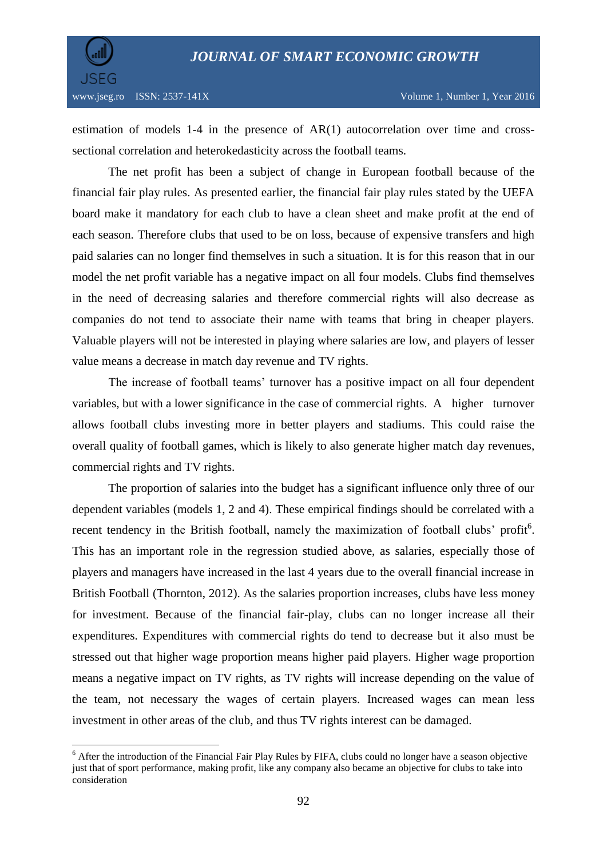

 $\overline{a}$ 

estimation of models 1-4 in the presence of AR(1) autocorrelation over time and crosssectional correlation and heterokedasticity across the football teams.

The net profit has been a subject of change in European football because of the financial fair play rules. As presented earlier, the financial fair play rules stated by the UEFA board make it mandatory for each club to have a clean sheet and make profit at the end of each season. Therefore clubs that used to be on loss, because of expensive transfers and high paid salaries can no longer find themselves in such a situation. It is for this reason that in our model the net profit variable has a negative impact on all four models. Clubs find themselves in the need of decreasing salaries and therefore commercial rights will also decrease as companies do not tend to associate their name with teams that bring in cheaper players. Valuable players will not be interested in playing where salaries are low, and players of lesser value means a decrease in match day revenue and TV rights.

The increase of football teams' turnover has a positive impact on all four dependent variables, but with a lower significance in the case of commercial rights. A higher turnover allows football clubs investing more in better players and stadiums. This could raise the overall quality of football games, which is likely to also generate higher match day revenues, commercial rights and TV rights.

The proportion of salaries into the budget has a significant influence only three of our dependent variables (models 1, 2 and 4). These empirical findings should be correlated with a recent tendency in the British football, namely the maximization of football clubs' profit<sup>6</sup>. This has an important role in the regression studied above, as salaries, especially those of players and managers have increased in the last 4 years due to the overall financial increase in British Football (Thornton, 2012). As the salaries proportion increases, clubs have less money for investment. Because of the financial fair-play, clubs can no longer increase all their expenditures. Expenditures with commercial rights do tend to decrease but it also must be stressed out that higher wage proportion means higher paid players. Higher wage proportion means a negative impact on TV rights, as TV rights will increase depending on the value of the team, not necessary the wages of certain players. Increased wages can mean less investment in other areas of the club, and thus TV rights interest can be damaged.

<sup>&</sup>lt;sup>6</sup> After the introduction of the Financial Fair Play Rules by FIFA, clubs could no longer have a season objective just that of sport performance, making profit, like any company also became an objective for clubs to take into consideration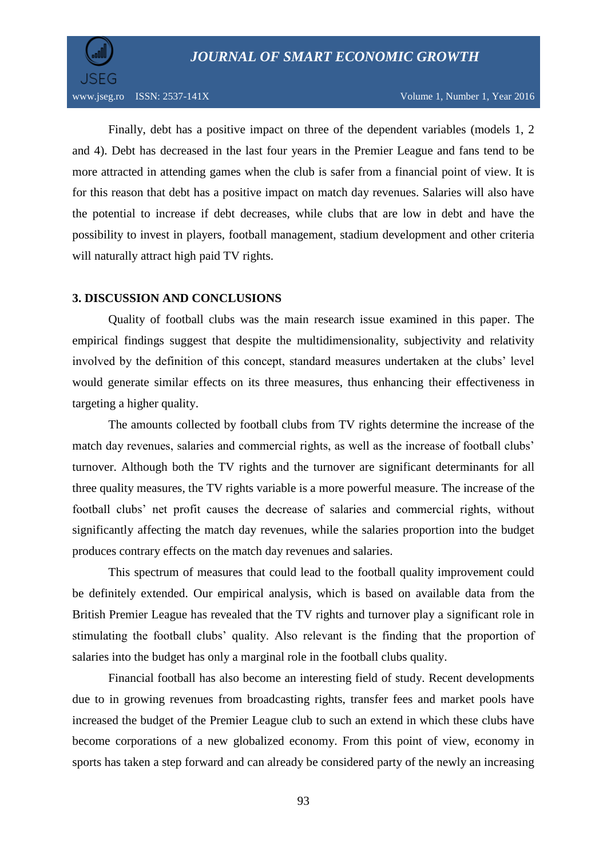

Finally, debt has a positive impact on three of the dependent variables (models 1, 2 and 4). Debt has decreased in the last four years in the Premier League and fans tend to be more attracted in attending games when the club is safer from a financial point of view. It is for this reason that debt has a positive impact on match day revenues. Salaries will also have the potential to increase if debt decreases, while clubs that are low in debt and have the possibility to invest in players, football management, stadium development and other criteria will naturally attract high paid TV rights.

#### **3. DISCUSSION AND CONCLUSIONS**

Quality of football clubs was the main research issue examined in this paper. The empirical findings suggest that despite the multidimensionality, subjectivity and relativity involved by the definition of this concept, standard measures undertaken at the clubs' level would generate similar effects on its three measures, thus enhancing their effectiveness in targeting a higher quality.

The amounts collected by football clubs from TV rights determine the increase of the match day revenues, salaries and commercial rights, as well as the increase of football clubs' turnover. Although both the TV rights and the turnover are significant determinants for all three quality measures, the TV rights variable is a more powerful measure. The increase of the football clubs' net profit causes the decrease of salaries and commercial rights, without significantly affecting the match day revenues, while the salaries proportion into the budget produces contrary effects on the match day revenues and salaries.

This spectrum of measures that could lead to the football quality improvement could be definitely extended. Our empirical analysis, which is based on available data from the British Premier League has revealed that the TV rights and turnover play a significant role in stimulating the football clubs' quality. Also relevant is the finding that the proportion of salaries into the budget has only a marginal role in the football clubs quality.

Financial football has also become an interesting field of study. Recent developments due to in growing revenues from broadcasting rights, transfer fees and market pools have increased the budget of the Premier League club to such an extend in which these clubs have become corporations of a new globalized economy. From this point of view, economy in sports has taken a step forward and can already be considered party of the newly an increasing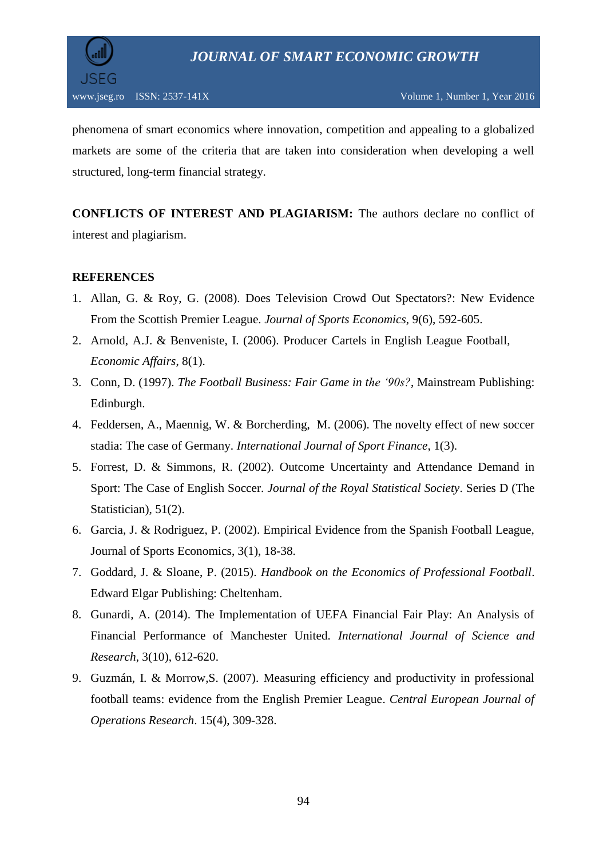

phenomena of smart economics where innovation, competition and appealing to a globalized markets are some of the criteria that are taken into consideration when developing a well structured, long-term financial strategy.

**CONFLICTS OF INTEREST AND PLAGIARISM:** The authors declare no conflict of interest and plagiarism.

#### **REFERENCES**

- 1. Allan, G. & Roy, G. (2008). Does Television Crowd Out Spectators?: New Evidence From the Scottish Premier League. *Journal of Sports Economics*, 9(6), 592-605.
- 2. Arnold, A.J. & Benveniste, I. (2006). Producer Cartels in English League Football, *Economic Affairs*, 8(1).
- 3. Conn, D. (1997). *The Football Business: Fair Game in the '90s?*, Mainstream Publishing: Edinburgh.
- 4. Feddersen, A., Maennig, W. & Borcherding, M. (2006). [The novelty effect of new soccer](http://www.uni-hamburg.de/onTEAM/grafik/1098966615/NoveltyEffect_IJSF_final.pdf)  [stadia: The case of Germany.](http://www.uni-hamburg.de/onTEAM/grafik/1098966615/NoveltyEffect_IJSF_final.pdf) *International Journal of Sport Finance*, 1(3).
- 5. Forrest, D. & Simmons, R. (2002). Outcome Uncertainty and Attendance Demand in Sport: The Case of English Soccer. *Journal of the Royal Statistical Society*. Series D (The Statistician), 51(2).
- 6. Garcia, J. & Rodriguez, P. (2002). Empirical Evidence from the Spanish Football League, Journal of Sports Economics, 3(1), 18-38.
- 7. Goddard, J. & Sloane, P. (2015). *Handbook on the Economics of Professional Football*. Edward Elgar Publishing: Cheltenham.
- 8. Gunardi, A. (2014). The Implementation of UEFA Financial Fair Play: An Analysis of Financial Performance of Manchester United. *International Journal of Science and Research*, 3(10), 612-620.
- 9. Guzmán, I. & Morrow,S. (2007). [Measuring efficiency and productivity in professional](http://link.springer.com/article/10.1007/s10100-007-0034-y)  [football teams: evidence from the English Premier League.](http://link.springer.com/article/10.1007/s10100-007-0034-y) *Central European Journal of Operations Research*. 15(4), 309-328.